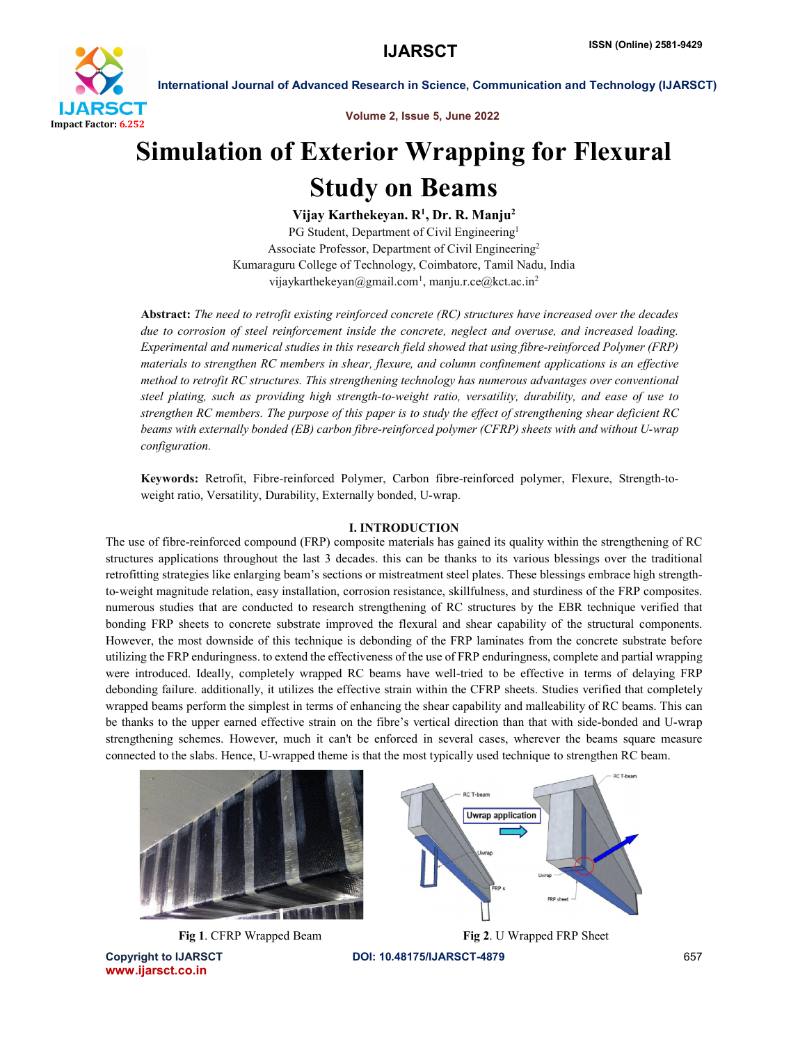

Volume 2, Issue 5, June 2022

# Simulation of Exterior Wrapping for Flexural Study on Beams

Vijay Karthekeyan. R<sup>1</sup>, Dr. R. Manju<sup>2</sup>

PG Student, Department of Civil Engineering<sup>1</sup> Associate Professor, Department of Civil Engineering2 Kumaraguru College of Technology, Coimbatore, Tamil Nadu, India vijaykarthekeyan@gmail.com<sup>1</sup>, manju.r.ce@kct.ac.in<sup>2</sup>

Abstract: *The need to retrofit existing reinforced concrete (RC) structures have increased over the decades due to corrosion of steel reinforcement inside the concrete, neglect and overuse, and increased loading. Experimental and numerical studies in this research field showed that using fibre-reinforced Polymer (FRP) materials to strengthen RC members in shear, flexure, and column confinement applications is an effective method to retrofit RC structures. This strengthening technology has numerous advantages over conventional steel plating, such as providing high strength-to-weight ratio, versatility, durability, and ease of use to strengthen RC members. The purpose of this paper is to study the effect of strengthening shear deficient RC beams with externally bonded (EB) carbon fibre-reinforced polymer (CFRP) sheets with and without U-wrap configuration.*

Keywords: Retrofit, Fibre-reinforced Polymer, Carbon fibre-reinforced polymer, Flexure, Strength-toweight ratio, Versatility, Durability, Externally bonded, U-wrap.

### I. INTRODUCTION

The use of fibre-reinforced compound (FRP) composite materials has gained its quality within the strengthening of RC structures applications throughout the last 3 decades. this can be thanks to its various blessings over the traditional retrofitting strategies like enlarging beam's sections or mistreatment steel plates. These blessings embrace high strengthto-weight magnitude relation, easy installation, corrosion resistance, skillfulness, and sturdiness of the FRP composites. numerous studies that are conducted to research strengthening of RC structures by the EBR technique verified that bonding FRP sheets to concrete substrate improved the flexural and shear capability of the structural components. However, the most downside of this technique is debonding of the FRP laminates from the concrete substrate before utilizing the FRP enduringness. to extend the effectiveness of the use of FRP enduringness, complete and partial wrapping were introduced. Ideally, completely wrapped RC beams have well-tried to be effective in terms of delaying FRP debonding failure. additionally, it utilizes the effective strain within the CFRP sheets. Studies verified that completely wrapped beams perform the simplest in terms of enhancing the shear capability and malleability of RC beams. This can be thanks to the upper earned effective strain on the fibre's vertical direction than that with side-bonded and U-wrap strengthening schemes. However, much it can't be enforced in several cases, wherever the beams square measure connected to the slabs. Hence, U-wrapped theme is that the most typically used technique to strengthen RC beam.



Copyright to IJARSCT DOI: 10.48175/IJARSCT-4879 657 www.ijarsct.co.in

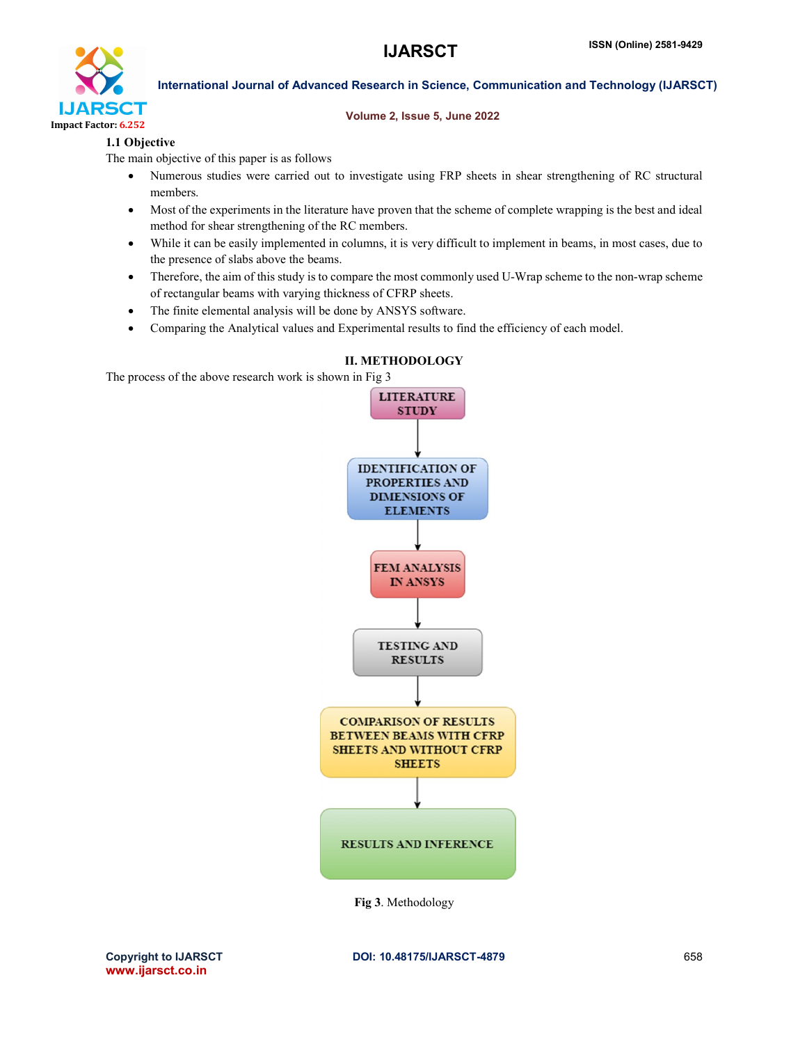

### Volume 2, Issue 5, June 2022

# 1.1 Objective

The main objective of this paper is as follows

- Numerous studies were carried out to investigate using FRP sheets in shear strengthening of RC structural members.
- Most of the experiments in the literature have proven that the scheme of complete wrapping is the best and ideal method for shear strengthening of the RC members.
- While it can be easily implemented in columns, it is very difficult to implement in beams, in most cases, due to the presence of slabs above the beams.
- Therefore, the aim of this study is to compare the most commonly used U-Wrap scheme to the non-wrap scheme of rectangular beams with varying thickness of CFRP sheets.
- The finite elemental analysis will be done by ANSYS software.
- Comparing the Analytical values and Experimental results to find the efficiency of each model.



# II. METHODOLOGY

The process of the above research work is shown in Fig 3

Fig 3. Methodology

www.ijarsct.co.in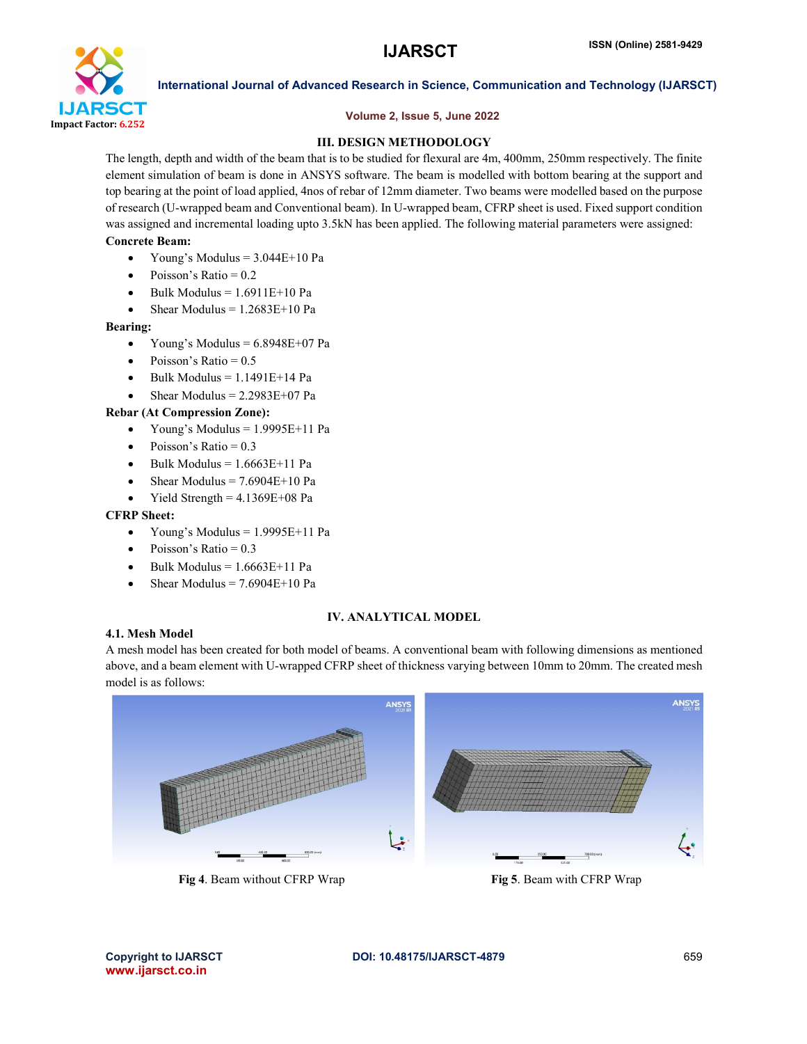

# Volume 2, Issue 5, June 2022

# III. DESIGN METHODOLOGY

The length, depth and width of the beam that is to be studied for flexural are 4m, 400mm, 250mm respectively. The finite element simulation of beam is done in ANSYS software. The beam is modelled with bottom bearing at the support and top bearing at the point of load applied, 4nos of rebar of 12mm diameter. Two beams were modelled based on the purpose of research (U-wrapped beam and Conventional beam). In U-wrapped beam, CFRP sheet is used. Fixed support condition was assigned and incremental loading upto 3.5kN has been applied. The following material parameters were assigned:

# Concrete Beam:

- Young's Modulus  $= 3.044E+10$  Pa
- Poisson's Ratio = 0.2
- Bulk Modulus  $= 1.6911E+10$  Pa
- Shear Modulus  $= 1.2683E + 10$  Pa

### Bearing:

- Young's Modulus =  $6.8948E+07$  Pa
- Poisson's Ratio = 0.5
- $\bullet$  Bulk Modulus = 1.1491E+14 Pa
- Shear Modulus  $= 2.2983E+07$  Pa

# Rebar (At Compression Zone):

- Young's Modulus = 1.9995E+11 Pa
- Poisson's Ratio = 0.3
- Bulk Modulus =  $1.6663E+11$  Pa
- Shear Modulus  $= 7.6904E+10$  Pa
- Yield Strength  $= 4.1369E + 08$  Pa

### CFRP Sheet:

- Young's Modulus =  $1.9995E+11$  Pa
- Poisson's Ratio = 0.3
- Bulk Modulus =  $1.6663E+11$  Pa
- Shear Modulus  $= 7.6904E+10$  Pa

# 4.1. Mesh Model

### IV. ANALYTICAL MODEL

A mesh model has been created for both model of beams. A conventional beam with following dimensions as mentioned above, and a beam element with U-wrapped CFRP sheet of thickness varying between 10mm to 20mm. The created mesh model is as follows:

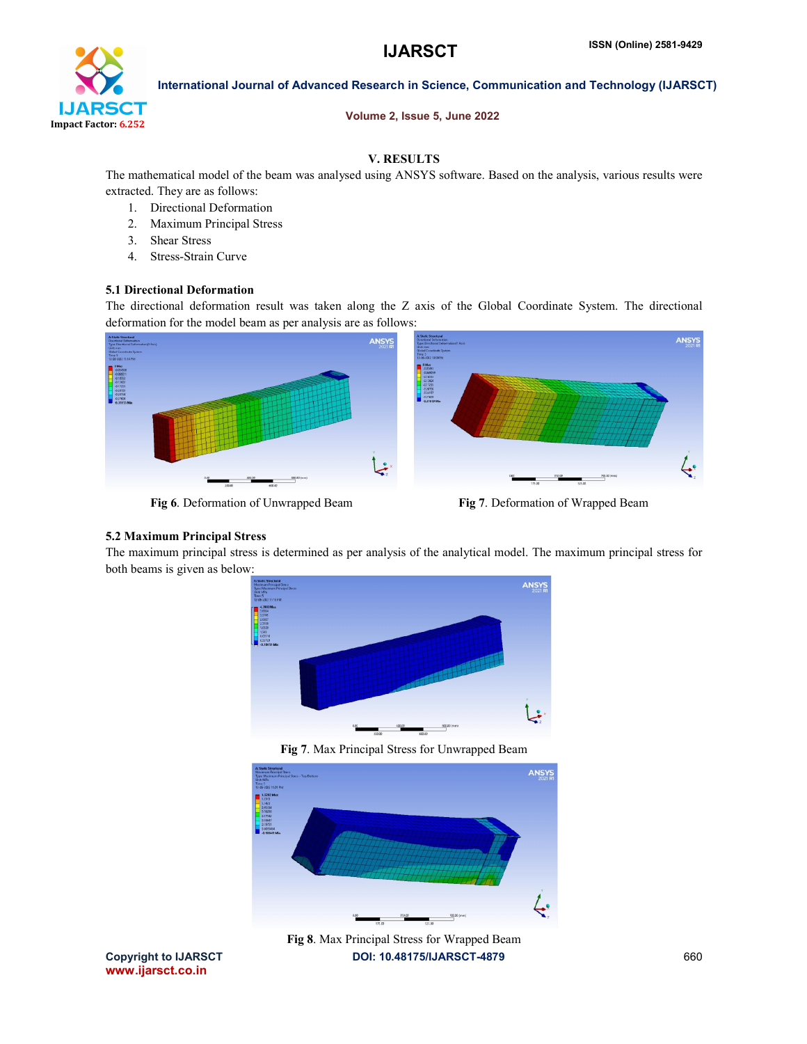

### Volume 2, Issue 5, June 2022

# V. RESULTS

The mathematical model of the beam was analysed using ANSYS software. Based on the analysis, various results were extracted. They are as follows:

- 1. Directional Deformation
- 2. Maximum Principal Stress
- 3. Shear Stress
- 4. Stress-Strain Curve

# 5.1 Directional Deformation

The directional deformation result was taken along the Z axis of the Global Coordinate System. The directional deformation for the model beam as per analysis are as follows:



Fig 6. Deformation of Unwrapped Beam Fig 7. Deformation of Wrapped Beam

# 5.2 Maximum Principal Stress

The maximum principal stress is determined as per analysis of the analytical model. The maximum principal stress for both beams is given as below:



Fig 7. Max Principal Stress for Unwrapped Beam



Copyright to IJARSCT **DOI: 10.48175/IJARSCT-4879** 660 Fig 8. Max Principal Stress for Wrapped Beam

www.ijarsct.co.in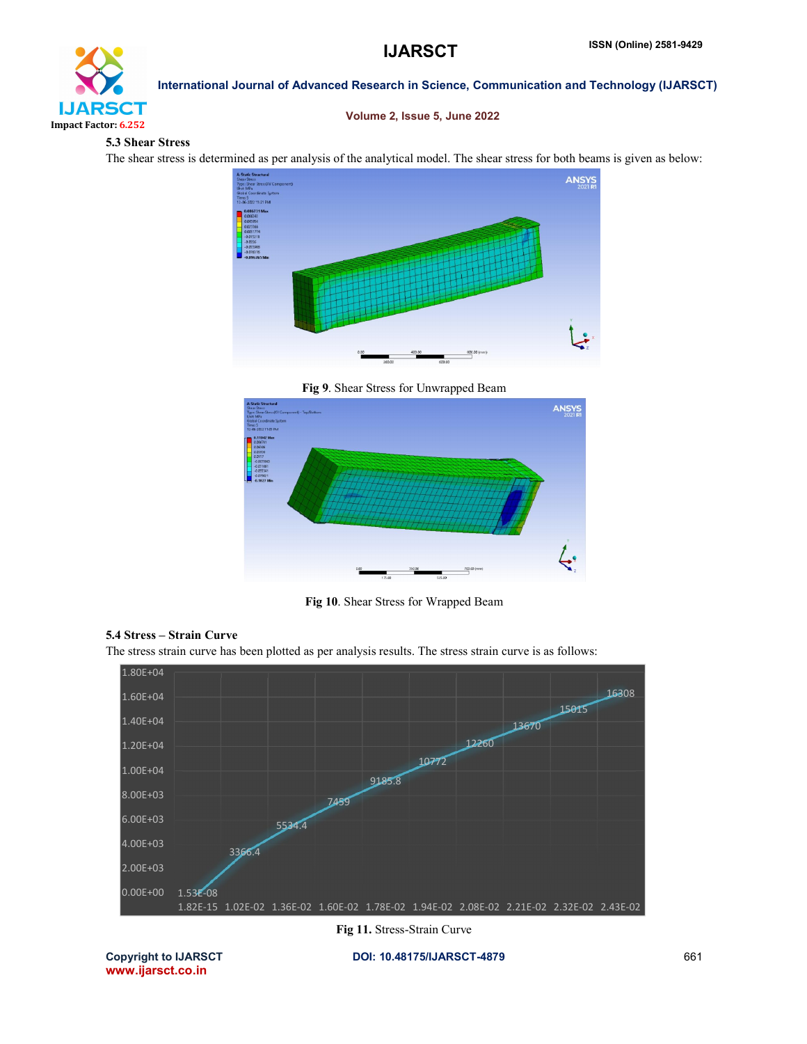

# Volume 2, Issue 5, June 2022

### 5.3 Shear Stress

The shear stress is determined as per analysis of the analytical model. The shear stress for both beams is given as below:



Fig 9. Shear Stress for Unwrapped Beam



Fig 10. Shear Stress for Wrapped Beam



The stress strain curve has been plotted as per analysis results. The stress strain curve is as follows:



Fig 11. Stress-Strain Curve

www.ijarsct.co.in

Copyright to IJARSCT DOI: 10.48175/IJARSCT-4879 661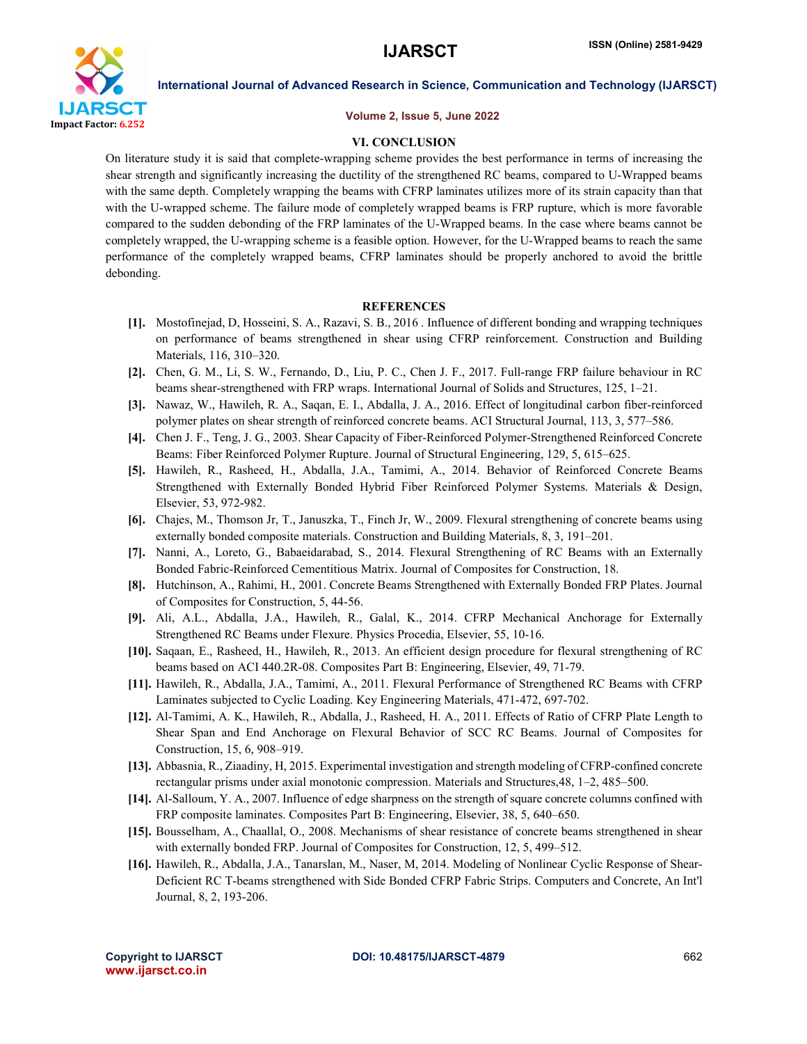

#### Volume 2, Issue 5, June 2022

#### VI. CONCLUSION

On literature study it is said that complete-wrapping scheme provides the best performance in terms of increasing the shear strength and significantly increasing the ductility of the strengthened RC beams, compared to U-Wrapped beams with the same depth. Completely wrapping the beams with CFRP laminates utilizes more of its strain capacity than that with the U-wrapped scheme. The failure mode of completely wrapped beams is FRP rupture, which is more favorable compared to the sudden debonding of the FRP laminates of the U-Wrapped beams. In the case where beams cannot be completely wrapped, the U-wrapping scheme is a feasible option. However, for the U-Wrapped beams to reach the same performance of the completely wrapped beams, CFRP laminates should be properly anchored to avoid the brittle debonding.

#### **REFERENCES**

- [1]. Mostofinejad, D, Hosseini, S. A., Razavi, S. B., 2016 . Influence of different bonding and wrapping techniques on performance of beams strengthened in shear using CFRP reinforcement. Construction and Building Materials, 116, 310–320.
- [2]. Chen, G. M., Li, S. W., Fernando, D., Liu, P. C., Chen J. F., 2017. Full-range FRP failure behaviour in RC beams shear-strengthened with FRP wraps. International Journal of Solids and Structures, 125, 1–21.
- [3]. Nawaz, W., Hawileh, R. A., Saqan, E. I., Abdalla, J. A., 2016. Effect of longitudinal carbon fiber-reinforced polymer plates on shear strength of reinforced concrete beams. ACI Structural Journal, 113, 3, 577–586.
- [4]. Chen J. F., Teng, J. G., 2003. Shear Capacity of Fiber-Reinforced Polymer-Strengthened Reinforced Concrete Beams: Fiber Reinforced Polymer Rupture. Journal of Structural Engineering, 129, 5, 615–625.
- [5]. Hawileh, R., Rasheed, H., Abdalla, J.A., Tamimi, A., 2014. Behavior of Reinforced Concrete Beams Strengthened with Externally Bonded Hybrid Fiber Reinforced Polymer Systems. Materials & Design, Elsevier, 53, 972-982.
- [6]. Chajes, M., Thomson Jr, T., Januszka, T., Finch Jr, W., 2009. Flexural strengthening of concrete beams using externally bonded composite materials. Construction and Building Materials, 8, 3, 191–201.
- [7]. Nanni, A., Loreto, G., Babaeidarabad, S., 2014. Flexural Strengthening of RC Beams with an Externally Bonded Fabric-Reinforced Cementitious Matrix. Journal of Composites for Construction, 18.
- [8]. Hutchinson, A., Rahimi, H., 2001. Concrete Beams Strengthened with Externally Bonded FRP Plates. Journal of Composites for Construction, 5, 44-56.
- [9]. Ali, A.L., Abdalla, J.A., Hawileh, R., Galal, K., 2014. CFRP Mechanical Anchorage for Externally Strengthened RC Beams under Flexure. Physics Procedia, Elsevier, 55, 10-16.
- [10]. Saqaan, E., Rasheed, H., Hawileh, R., 2013. An efficient design procedure for flexural strengthening of RC beams based on ACI 440.2R-08. Composites Part B: Engineering, Elsevier, 49, 71-79.
- [11]. Hawileh, R., Abdalla, J.A., Tamimi, A., 2011. Flexural Performance of Strengthened RC Beams with CFRP Laminates subjected to Cyclic Loading. Key Engineering Materials, 471-472, 697-702.
- [12]. Al-Tamimi, A. K., Hawileh, R., Abdalla, J., Rasheed, H. A., 2011. Effects of Ratio of CFRP Plate Length to Shear Span and End Anchorage on Flexural Behavior of SCC RC Beams. Journal of Composites for Construction, 15, 6, 908–919.
- [13]. Abbasnia, R., Ziaadiny, H, 2015. Experimental investigation and strength modeling of CFRP-confined concrete rectangular prisms under axial monotonic compression. Materials and Structures,48, 1–2, 485–500.
- [14]. Al-Salloum, Y. A., 2007. Influence of edge sharpness on the strength of square concrete columns confined with FRP composite laminates. Composites Part B: Engineering, Elsevier, 38, 5, 640–650.
- [15]. Bousselham, A., Chaallal, O., 2008. Mechanisms of shear resistance of concrete beams strengthened in shear with externally bonded FRP. Journal of Composites for Construction, 12, 5, 499–512.
- [16]. Hawileh, R., Abdalla, J.A., Tanarslan, M., Naser, M, 2014. Modeling of Nonlinear Cyclic Response of Shear-Deficient RC T-beams strengthened with Side Bonded CFRP Fabric Strips. Computers and Concrete, An Int'l Journal, 8, 2, 193-206.